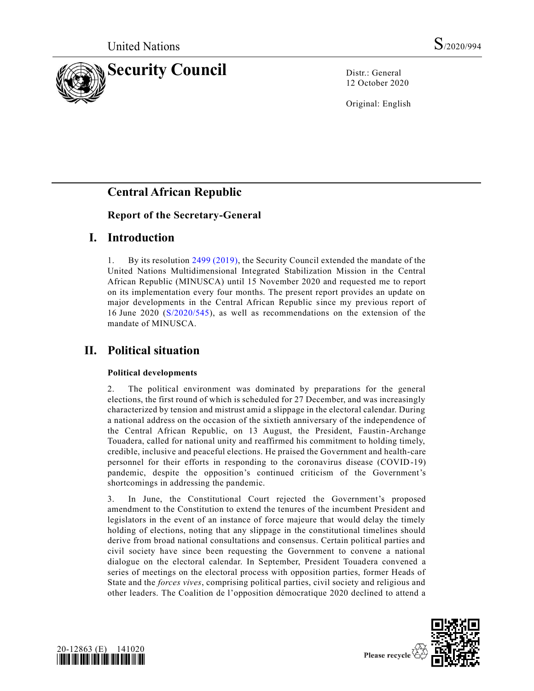

12 October 2020

Original: English

# **Central African Republic**

### **Report of the Secretary-General**

### **I. Introduction**

1. By its resolution [2499 \(2019\),](https://undocs.org/en/S/RES/2499(2019)) the Security Council extended the mandate of the United Nations Multidimensional Integrated Stabilization Mission in the Central African Republic (MINUSCA) until 15 November 2020 and requested me to report on its implementation every four months. The present report provides an update on major developments in the Central African Republic since my previous report of 16 June 2020 [\(S/2020/545\)](https://undocs.org/en/S/2020/545), as well as recommendations on the extension of the mandate of MINUSCA.

## **II. Political situation**

### **Political developments**

2. The political environment was dominated by preparations for the general elections, the first round of which is scheduled for 27 December, and was increasingly characterized by tension and mistrust amid a slippage in the electoral calendar. During a national address on the occasion of the sixtieth anniversary of the independence of the Central African Republic, on 13 August, the President, Faustin-Archange Touadera, called for national unity and reaffirmed his commitment to holding timely, credible, inclusive and peaceful elections. He praised the Government and health-care personnel for their efforts in responding to the coronavirus disease (COVID-19) pandemic, despite the opposition's continued criticism of the Government's shortcomings in addressing the pandemic.

3. In June, the Constitutional Court rejected the Government's proposed amendment to the Constitution to extend the tenures of the incumbent President and legislators in the event of an instance of force majeure that would delay the timely holding of elections, noting that any slippage in the constitutional timelines should derive from broad national consultations and consensus. Certain political parties and civil society have since been requesting the Government to convene a national dialogue on the electoral calendar. In September, President Touadera convened a series of meetings on the electoral process with opposition parties, former Heads of State and the *forces vives*, comprising political parties, civil society and religious and other leaders. The Coalition de l'opposition démocratique 2020 declined to attend a



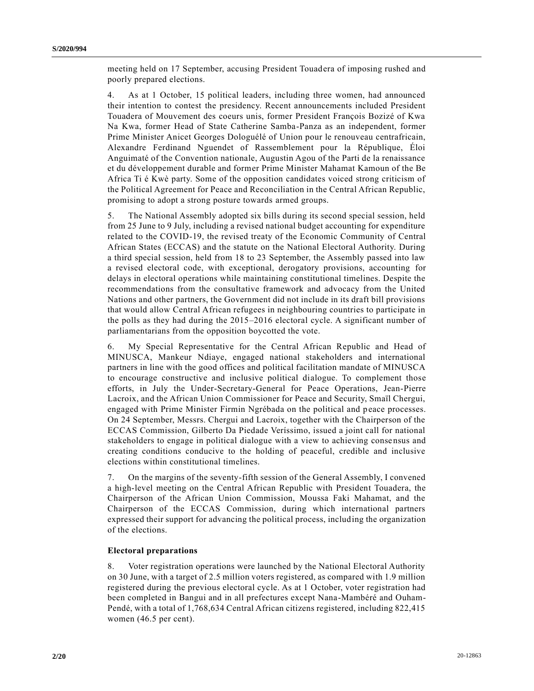meeting held on 17 September, accusing President Touadera of imposing rushed and poorly prepared elections.

4. As at 1 October, 15 political leaders, including three women, had announced their intention to contest the presidency. Recent announcements included President Touadera of Mouvement des coeurs unis, former President François Bozizé of Kwa Na Kwa, former Head of State Catherine Samba-Panza as an independent, former Prime Minister Anicet Georges Dologuélé of Union pour le renouveau centrafricain, Alexandre Ferdinand Nguendet of Rassemblement pour la République, Éloi Anguimaté of the Convention nationale, Augustin Agou of the Parti de la renaissance et du développement durable and former Prime Minister Mahamat Kamoun of the Be Africa Ti é Kwè party. Some of the opposition candidates voiced strong criticism of the Political Agreement for Peace and Reconciliation in the Central African Republic, promising to adopt a strong posture towards armed groups.

5. The National Assembly adopted six bills during its second special session, held from 25 June to 9 July, including a revised national budget accounting for expenditure related to the COVID-19, the revised treaty of the Economic Community of Central African States (ECCAS) and the statute on the National Electoral Authority. During a third special session, held from 18 to 23 September, the Assembly passed into law a revised electoral code, with exceptional, derogatory provisions, accounting for delays in electoral operations while maintaining constitutional timelines. Despite the recommendations from the consultative framework and advocacy from the United Nations and other partners, the Government did not include in its draft bill provisions that would allow Central African refugees in neighbouring countries to participate in the polls as they had during the 2015–2016 electoral cycle. A significant number of parliamentarians from the opposition boycotted the vote.

6. My Special Representative for the Central African Republic and Head of MINUSCA, Mankeur Ndiaye, engaged national stakeholders and international partners in line with the good offices and political facilitation mandate of MINUSCA to encourage constructive and inclusive political dialogue. To complement those efforts, in July the Under-Secretary-General for Peace Operations, Jean-Pierre Lacroix, and the African Union Commissioner for Peace and Security, Smaïl Chergui, engaged with Prime Minister Firmin Ngrébada on the political and p eace processes. On 24 September, Messrs. Chergui and Lacroix, together with the Chairperson of the ECCAS Commission, Gilberto Da Piedade Veríssimo, issued a joint call for national stakeholders to engage in political dialogue with a view to achieving consensus and creating conditions conducive to the holding of peaceful, credible and inclusive elections within constitutional timelines.

7. On the margins of the seventy-fifth session of the General Assembly, I convened a high-level meeting on the Central African Republic with President Touadera, the Chairperson of the African Union Commission, Moussa Faki Mahamat, and the Chairperson of the ECCAS Commission, during which international partners expressed their support for advancing the political process, including the organization of the elections.

#### **Electoral preparations**

8. Voter registration operations were launched by the National Electoral Authority on 30 June, with a target of 2.5 million voters registered, as compared with 1.9 million registered during the previous electoral cycle. As at 1 October, voter registration had been completed in Bangui and in all prefectures except Nana-Mambéré and Ouham-Pendé, with a total of 1,768,634 Central African citizens registered, including 822,415 women (46.5 per cent).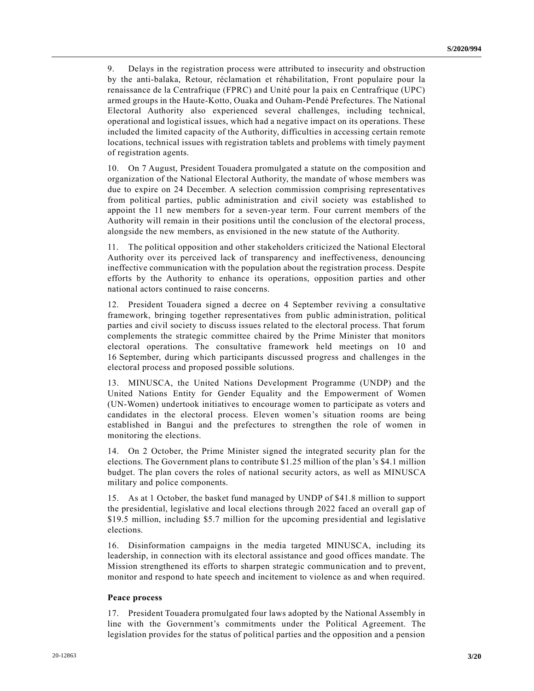9. Delays in the registration process were attributed to insecurity and obstruction by the anti-balaka, Retour, réclamation et réhabilitation, Front populaire pour la renaissance de la Centrafrique (FPRC) and Unité pour la paix en Centrafrique (UPC) armed groups in the Haute-Kotto, Ouaka and Ouham-Pendé Prefectures. The National Electoral Authority also experienced several challenges, including technical, operational and logistical issues, which had a negative impact on its operations. These included the limited capacity of the Authority, difficulties in accessing certain remote locations, technical issues with registration tablets and problems with timely payment of registration agents.

10. On 7 August, President Touadera promulgated a statute on the composition and organization of the National Electoral Authority, the mandate of whose members was due to expire on 24 December. A selection commission comprising representatives from political parties, public administration and civil society was established to appoint the 11 new members for a seven-year term. Four current members of the Authority will remain in their positions until the conclusion of the electoral process, alongside the new members, as envisioned in the new statute of the Authority.

11. The political opposition and other stakeholders criticized the National Electoral Authority over its perceived lack of transparency and ineffectiveness, denouncing ineffective communication with the population about the registration process. Despite efforts by the Authority to enhance its operations, opposition parties and other national actors continued to raise concerns.

12. President Touadera signed a decree on 4 September reviving a consultative framework, bringing together representatives from public administration, political parties and civil society to discuss issues related to the electoral process. That forum complements the strategic committee chaired by the Prime Minister that monitors electoral operations. The consultative framework held meetings on 10 and 16 September, during which participants discussed progress and challenges in the electoral process and proposed possible solutions.

13. MINUSCA, the United Nations Development Programme (UNDP) and the United Nations Entity for Gender Equality and the Empowerment of Women (UN-Women) undertook initiatives to encourage women to participate as voters and candidates in the electoral process. Eleven women's situation rooms are being established in Bangui and the prefectures to strengthen the role of women in monitoring the elections.

14. On 2 October, the Prime Minister signed the integrated security plan for the elections. The Government plans to contribute \$1.25 million of the plan's \$4.1 million budget. The plan covers the roles of national security actors, as well as MINUSCA military and police components.

15. As at 1 October, the basket fund managed by UNDP of \$41.8 million to support the presidential, legislative and local elections through 2022 faced an overall gap of \$19.5 million, including \$5.7 million for the upcoming presidential and legislative elections.

16. Disinformation campaigns in the media targeted MINUSCA, including its leadership, in connection with its electoral assistance and good offices mandate. The Mission strengthened its efforts to sharpen strategic communication and to prevent, monitor and respond to hate speech and incitement to violence as and when required.

#### **Peace process**

17. President Touadera promulgated four laws adopted by the National Assembly in line with the Government's commitments under the Political Agreement. The legislation provides for the status of political parties and the opposition and a pension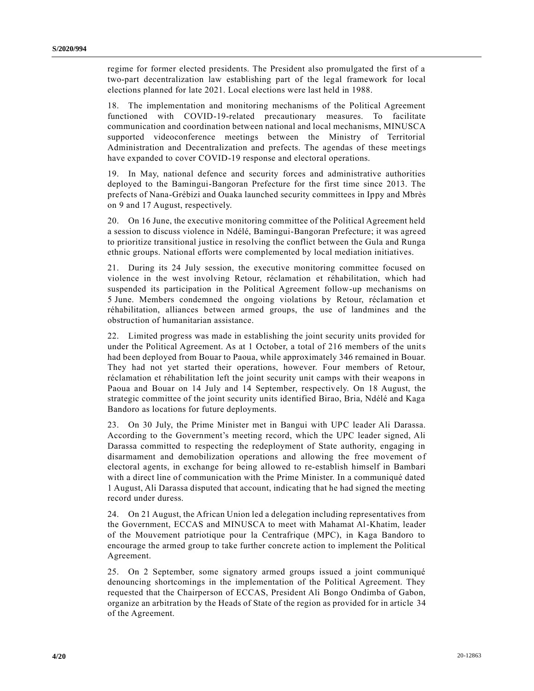regime for former elected presidents. The President also promulgated the first of a two-part decentralization law establishing part of the legal framework for local elections planned for late 2021. Local elections were last held in 1988.

18. The implementation and monitoring mechanisms of the Political Agreement functioned with COVID-19-related precautionary measures. To facilitate communication and coordination between national and local mechanisms, MINUSCA supported videoconference meetings between the Ministry of Territorial Administration and Decentralization and prefects. The agendas of these meetings have expanded to cover COVID-19 response and electoral operations.

19. In May, national defence and security forces and administrative authorities deployed to the Bamingui-Bangoran Prefecture for the first time since 2013. The prefects of Nana-Grébizi and Ouaka launched security committees in Ippy and Mbrès on 9 and 17 August, respectively.

20. On 16 June, the executive monitoring committee of the Political Agreement held a session to discuss violence in Ndélé, Bamingui-Bangoran Prefecture; it was agreed to prioritize transitional justice in resolving the conflict between the Gula and Runga ethnic groups. National efforts were complemented by local mediation initiatives.

21. During its 24 July session, the executive monitoring committee focused on violence in the west involving Retour, réclamation et réhabilitation, which had suspended its participation in the Political Agreement follow-up mechanisms on 5 June. Members condemned the ongoing violations by Retour, réclamation et réhabilitation, alliances between armed groups, the use of landmines and the obstruction of humanitarian assistance.

22. Limited progress was made in establishing the joint security units provided for under the Political Agreement. As at 1 October, a total of 216 members of the units had been deployed from Bouar to Paoua, while approximately 346 remained in Bouar. They had not yet started their operations, however. Four members of Retour, réclamation et réhabilitation left the joint security unit camps with their weapons in Paoua and Bouar on 14 July and 14 September, respectively. On 18 August, the strategic committee of the joint security units identified Birao, Bria, Ndélé and Kaga Bandoro as locations for future deployments.

23. On 30 July, the Prime Minister met in Bangui with UPC leader Ali Darassa. According to the Government's meeting record, which the UPC leader signed, Ali Darassa committed to respecting the redeployment of State authority, engaging in disarmament and demobilization operations and allowing the free movement of electoral agents, in exchange for being allowed to re-establish himself in Bambari with a direct line of communication with the Prime Minister. In a communiqué dated 1 August, Ali Darassa disputed that account, indicating that he had signed the meeting record under duress.

24. On 21 August, the African Union led a delegation including representatives from the Government, ECCAS and MINUSCA to meet with Mahamat Al-Khatim, leader of the Mouvement patriotique pour la Centrafrique (MPC), in Kaga Bandoro to encourage the armed group to take further concrete action to implement the Political Agreement.

25. On 2 September, some signatory armed groups issued a joint communiqué denouncing shortcomings in the implementation of the Political Agreement. They requested that the Chairperson of ECCAS, President Ali Bongo Ondimba of Gabon, organize an arbitration by the Heads of State of the region as provided for in article 34 of the Agreement.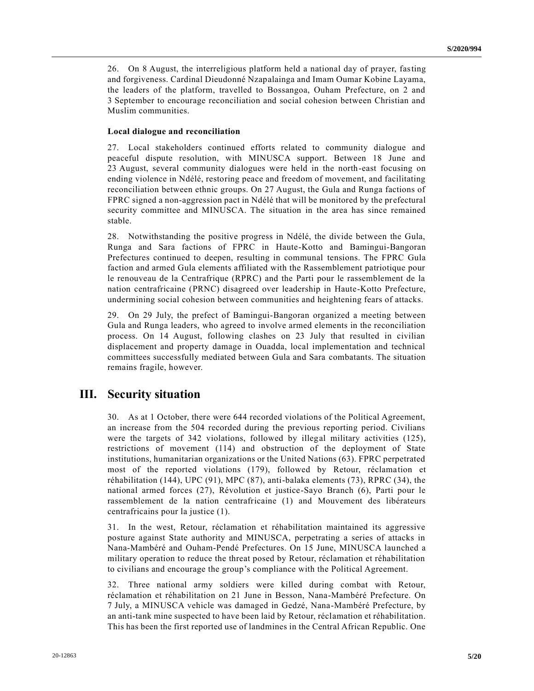26. On 8 August, the interreligious platform held a national day of prayer, fasting and forgiveness. Cardinal Dieudonné Nzapalainga and Imam Oumar Kobine Layama, the leaders of the platform, travelled to Bossangoa, Ouham Prefecture, on 2 and 3 September to encourage reconciliation and social cohesion between Christian and Muslim communities.

#### **Local dialogue and reconciliation**

27. Local stakeholders continued efforts related to community dialogue and peaceful dispute resolution, with MINUSCA support. Between 18 June and 23 August, several community dialogues were held in the north-east focusing on ending violence in Ndélé, restoring peace and freedom of movement, and facilitating reconciliation between ethnic groups. On 27 August, the Gula and Runga factions of FPRC signed a non-aggression pact in Ndélé that will be monitored by the prefectural security committee and MINUSCA. The situation in the area has since remained stable.

28. Notwithstanding the positive progress in Ndélé, the divide between the Gula, Runga and Sara factions of FPRC in Haute-Kotto and Bamingui-Bangoran Prefectures continued to deepen, resulting in communal tensions. The FPRC Gula faction and armed Gula elements affiliated with the Rassemblement patriotique pour le renouveau de la Centrafrique (RPRC) and the Parti pour le rassemblement de la nation centrafricaine (PRNC) disagreed over leadership in Haute-Kotto Prefecture, undermining social cohesion between communities and heightening fears of attacks.

29. On 29 July, the prefect of Bamingui-Bangoran organized a meeting between Gula and Runga leaders, who agreed to involve armed elements in the reconciliation process. On 14 August, following clashes on 23 July that resulted in civilian displacement and property damage in Ouadda, local implementation and technical committees successfully mediated between Gula and Sara combatants. The situation remains fragile, however.

### **III. Security situation**

30. As at 1 October, there were 644 recorded violations of the Political Agreement, an increase from the 504 recorded during the previous reporting period. Civilians were the targets of 342 violations, followed by illegal military activities (125), restrictions of movement (114) and obstruction of the deployment of State institutions, humanitarian organizations or the United Nations (63). FPRC perpetrated most of the reported violations (179), followed by Retour, réclamation et réhabilitation (144), UPC (91), MPC (87), anti-balaka elements (73), RPRC (34), the national armed forces (27), Révolution et justice-Sayo Branch (6), Parti pour le rassemblement de la nation centrafricaine (1) and Mouvement des libérateurs centrafricains pour la justice (1).

31. In the west, Retour, réclamation et réhabilitation maintained its aggressive posture against State authority and MINUSCA, perpetrating a series of attacks in Nana-Mambéré and Ouham-Pendé Prefectures. On 15 June, MINUSCA launched a military operation to reduce the threat posed by Retour, réclamation et réhabilitation to civilians and encourage the group's compliance with the Political Agreement.

32. Three national army soldiers were killed during combat with Retour, réclamation et réhabilitation on 21 June in Besson, Nana-Mambéré Prefecture. On 7 July, a MINUSCA vehicle was damaged in Gedzé, Nana-Mambéré Prefecture, by an anti-tank mine suspected to have been laid by Retour, réclamation et réhabilitation. This has been the first reported use of landmines in the Central African Republic. One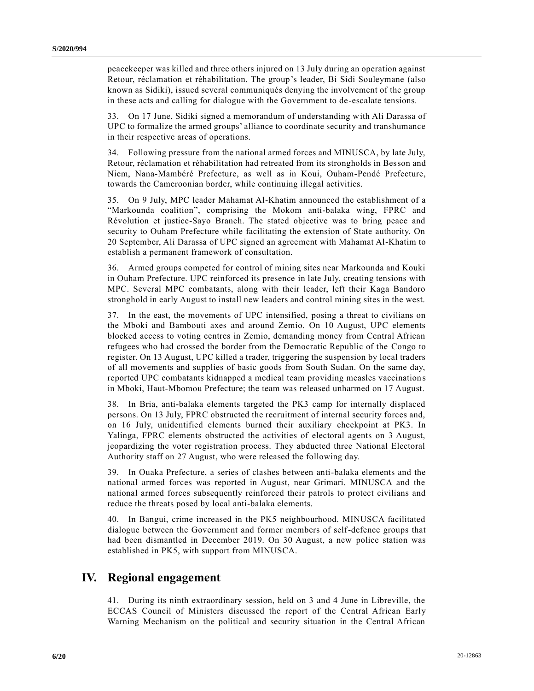peacekeeper was killed and three others injured on 13 July during an operation against Retour, réclamation et réhabilitation. The group's leader, Bi Sidi Souleymane (also known as Sidiki), issued several communiqués denying the involvement of the group in these acts and calling for dialogue with the Government to de-escalate tensions.

33. On 17 June, Sidiki signed a memorandum of understanding with Ali Darassa of UPC to formalize the armed groups' alliance to coordinate security and transhumance in their respective areas of operations.

34. Following pressure from the national armed forces and MINUSCA, by late July, Retour, réclamation et réhabilitation had retreated from its strongholds in Besson and Niem, Nana-Mambéré Prefecture, as well as in Koui, Ouham-Pendé Prefecture, towards the Cameroonian border, while continuing illegal activities.

35. On 9 July, MPC leader Mahamat Al-Khatim announced the establishment of a "Markounda coalition", comprising the Mokom anti-balaka wing, FPRC and Révolution et justice-Sayo Branch. The stated objective was to bring peace and security to Ouham Prefecture while facilitating the extension of State authority. On 20 September, Ali Darassa of UPC signed an agreement with Mahamat Al-Khatim to establish a permanent framework of consultation.

36. Armed groups competed for control of mining sites near Markounda and Kouki in Ouham Prefecture. UPC reinforced its presence in late July, creating tensions with MPC. Several MPC combatants, along with their leader, left their Kaga Bandoro stronghold in early August to install new leaders and control mining sites in the west.

37. In the east, the movements of UPC intensified, posing a threat to civilians on the Mboki and Bambouti axes and around Zemio. On 10 August, UPC elements blocked access to voting centres in Zemio, demanding money from Central African refugees who had crossed the border from the Democratic Republic of the Congo to register. On 13 August, UPC killed a trader, triggering the suspension by local traders of all movements and supplies of basic goods from South Sudan. On the same day, reported UPC combatants kidnapped a medical team providing measles vaccination s in Mboki, Haut-Mbomou Prefecture; the team was released unharmed on 17 August.

38. In Bria, anti-balaka elements targeted the PK3 camp for internally displaced persons. On 13 July, FPRC obstructed the recruitment of internal security forces and, on 16 July, unidentified elements burned their auxiliary checkpoint at PK3. In Yalinga, FPRC elements obstructed the activities of electoral agents on 3 August, jeopardizing the voter registration process. They abducted three National Electoral Authority staff on 27 August, who were released the following day.

39. In Ouaka Prefecture, a series of clashes between anti-balaka elements and the national armed forces was reported in August, near Grimari. MINUSCA and the national armed forces subsequently reinforced their patrols to protect civilians and reduce the threats posed by local anti-balaka elements.

40. In Bangui, crime increased in the PK5 neighbourhood. MINUSCA facilitated dialogue between the Government and former members of self-defence groups that had been dismantled in December 2019. On 30 August, a new police station was established in PK5, with support from MINUSCA.

### **IV. Regional engagement**

41. During its ninth extraordinary session, held on 3 and 4 June in Libreville, the ECCAS Council of Ministers discussed the report of the Central African Early Warning Mechanism on the political and security situation in the Central African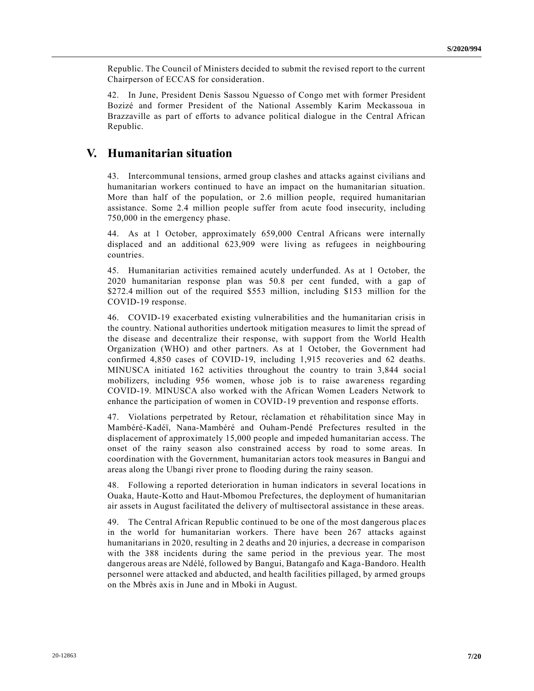Republic. The Council of Ministers decided to submit the revised report to the current Chairperson of ECCAS for consideration.

42. In June, President Denis Sassou Nguesso of Congo met with former President Bozizé and former President of the National Assembly Karim Meckassoua in Brazzaville as part of efforts to advance political dialogue in the Central African Republic.

### **V. Humanitarian situation**

43. Intercommunal tensions, armed group clashes and attacks against civilians and humanitarian workers continued to have an impact on the humanitarian situation. More than half of the population, or 2.6 million people, required humanitarian assistance. Some 2.4 million people suffer from acute food insecurity, including 750,000 in the emergency phase.

44. As at 1 October, approximately 659,000 Central Africans were internally displaced and an additional 623,909 were living as refugees in neighbouring countries.

45. Humanitarian activities remained acutely underfunded. As at 1 October, the 2020 humanitarian response plan was 50.8 per cent funded, with a gap of \$272.4 million out of the required \$553 million, including \$153 million for the COVID-19 response.

46. COVID-19 exacerbated existing vulnerabilities and the humanitarian crisis in the country. National authorities undertook mitigation measures to limit the spread of the disease and decentralize their response, with support from the World Health Organization (WHO) and other partners. As at 1 October, the Government had confirmed 4,850 cases of COVID-19, including 1,915 recoveries and 62 deaths. MINUSCA initiated 162 activities throughout the country to train 3,844 socia l mobilizers, including 956 women, whose job is to raise awareness regarding COVID-19. MINUSCA also worked with the African Women Leaders Network to enhance the participation of women in COVID-19 prevention and response efforts.

47. Violations perpetrated by Retour, réclamation et réhabilitation since May in Mambéré-Kadéï, Nana-Mambéré and Ouham-Pendé Prefectures resulted in the displacement of approximately 15,000 people and impeded humanitarian access. The onset of the rainy season also constrained access by road to some areas. In coordination with the Government, humanitarian actors took measures in Bangui and areas along the Ubangi river prone to flooding during the rainy season.

48. Following a reported deterioration in human indicators in several locations in Ouaka, Haute-Kotto and Haut-Mbomou Prefectures, the deployment of humanitarian air assets in August facilitated the delivery of multisectoral assistance in these areas.

49. The Central African Republic continued to be one of the most dangerous plac es in the world for humanitarian workers. There have been 267 attacks against humanitarians in 2020, resulting in 2 deaths and 20 injuries, a decrease in comparison with the 388 incidents during the same period in the previous year. The most dangerous areas are Ndélé, followed by Bangui, Batangafo and Kaga-Bandoro. Health personnel were attacked and abducted, and health facilities pillaged, by armed groups on the Mbrès axis in June and in Mboki in August.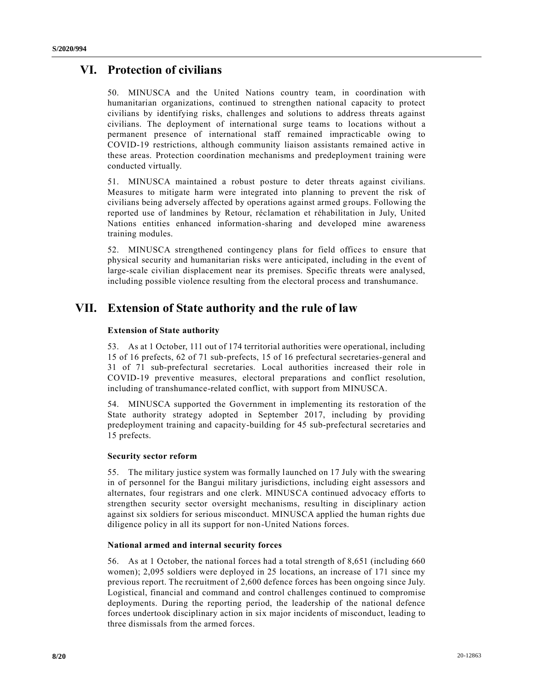## **VI. Protection of civilians**

50. MINUSCA and the United Nations country team, in coordination with humanitarian organizations, continued to strengthen national capacity to protect civilians by identifying risks, challenges and solutions to address threats against civilians. The deployment of international surge teams to locations without a permanent presence of international staff remained impracticable owing to COVID-19 restrictions, although community liaison assistants remained active in these areas. Protection coordination mechanisms and predeployment training were conducted virtually.

51. MINUSCA maintained a robust posture to deter threats against civilians. Measures to mitigate harm were integrated into planning to prevent the risk of civilians being adversely affected by operations against armed groups. Following the reported use of landmines by Retour, réclamation et réhabilitation in July, United Nations entities enhanced information-sharing and developed mine awareness training modules.

52. MINUSCA strengthened contingency plans for field offices to ensure that physical security and humanitarian risks were anticipated, including in the event of large-scale civilian displacement near its premises. Specific threats were analysed, including possible violence resulting from the electoral process and transhumance.

## **VII. Extension of State authority and the rule of law**

### **Extension of State authority**

53. As at 1 October, 111 out of 174 territorial authorities were operational, including 15 of 16 prefects, 62 of 71 sub-prefects, 15 of 16 prefectural secretaries-general and 31 of 71 sub-prefectural secretaries. Local authorities increased their role in COVID-19 preventive measures, electoral preparations and conflict resolution, including of transhumance-related conflict, with support from MINUSCA.

54. MINUSCA supported the Government in implementing its restoration of the State authority strategy adopted in September 2017, including by providing predeployment training and capacity-building for 45 sub-prefectural secretaries and 15 prefects.

### **Security sector reform**

55. The military justice system was formally launched on 17 July with the swearing in of personnel for the Bangui military jurisdictions, including eight assessors and alternates, four registrars and one clerk. MINUSCA continued advocacy efforts to strengthen security sector oversight mechanisms, resulting in disciplinary action against six soldiers for serious misconduct. MINUSCA applied the human rights due diligence policy in all its support for non-United Nations forces.

### **National armed and internal security forces**

56. As at 1 October, the national forces had a total strength of 8,651 (including 660 women); 2,095 soldiers were deployed in 25 locations, an increase of 171 since my previous report. The recruitment of 2,600 defence forces has been ongoing since July. Logistical, financial and command and control challenges continued to compromise deployments. During the reporting period, the leadership of the national defence forces undertook disciplinary action in six major incidents of misconduct, leading to three dismissals from the armed forces.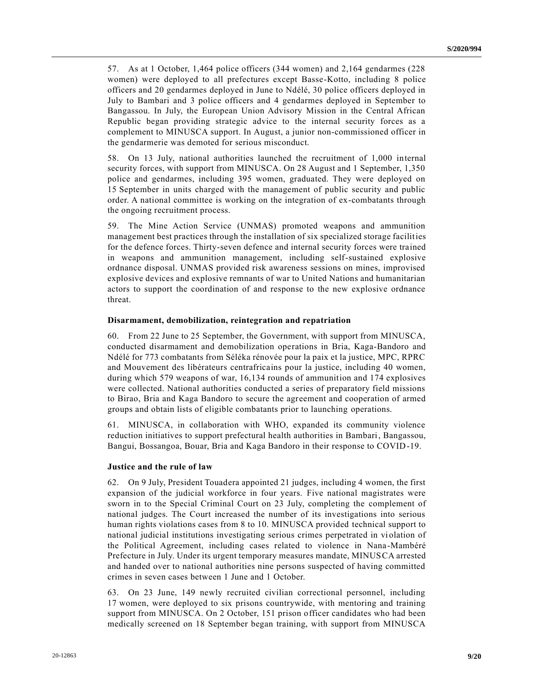57. As at 1 October, 1,464 police officers (344 women) and 2,164 gendarmes (228 women) were deployed to all prefectures except Basse-Kotto, including 8 police officers and 20 gendarmes deployed in June to Ndélé, 30 police officers deployed in July to Bambari and 3 police officers and 4 gendarmes deployed in September to Bangassou. In July, the European Union Advisory Mission in the Central African Republic began providing strategic advice to the internal security forces as a complement to MINUSCA support. In August, a junior non-commissioned officer in the gendarmerie was demoted for serious misconduct.

58. On 13 July, national authorities launched the recruitment of 1,000 internal security forces, with support from MINUSCA. On 28 August and 1 September, 1,350 police and gendarmes, including 395 women, graduated. They were deployed on 15 September in units charged with the management of public security and public order. A national committee is working on the integration of ex-combatants through the ongoing recruitment process.

59. The Mine Action Service (UNMAS) promoted weapons and ammunition management best practices through the installation of six specialized storage facilities for the defence forces. Thirty-seven defence and internal security forces were trained in weapons and ammunition management, including self-sustained explosive ordnance disposal. UNMAS provided risk awareness sessions on mines, improvised explosive devices and explosive remnants of war to United Nations and humanitarian actors to support the coordination of and response to the new explosive ordnance threat.

#### **Disarmament, demobilization, reintegration and repatriation**

60. From 22 June to 25 September, the Government, with support from MINUSCA, conducted disarmament and demobilization operations in Bria, Kaga-Bandoro and Ndélé for 773 combatants from Séléka rénovée pour la paix et la justice, MPC, RPRC and Mouvement des libérateurs centrafricains pour la justice, including 40 women, during which 579 weapons of war, 16,134 rounds of ammunition and 174 explosives were collected. National authorities conducted a series of preparatory field missions to Birao, Bria and Kaga Bandoro to secure the agreement and cooperation of armed groups and obtain lists of eligible combatants prior to launching operations.

61. MINUSCA, in collaboration with WHO, expanded its community violence reduction initiatives to support prefectural health authorities in Bambari, Bangassou, Bangui, Bossangoa, Bouar, Bria and Kaga Bandoro in their response to COVID-19.

#### **Justice and the rule of law**

62. On 9 July, President Touadera appointed 21 judges, including 4 women, the first expansion of the judicial workforce in four years. Five national magistrates were sworn in to the Special Criminal Court on 23 July, completing the complement of national judges. The Court increased the number of its investigations into serious human rights violations cases from 8 to 10. MINUSCA provided technical support to national judicial institutions investigating serious crimes perpetrated in vi olation of the Political Agreement, including cases related to violence in Nana-Mambéré Prefecture in July. Under its urgent temporary measures mandate, MINUSCA arrested and handed over to national authorities nine persons suspected of having committed crimes in seven cases between 1 June and 1 October.

63. On 23 June, 149 newly recruited civilian correctional personnel, including 17 women, were deployed to six prisons countrywide, with mentoring and training support from MINUSCA. On 2 October, 151 prison officer candidates who had been medically screened on 18 September began training, with support from MINUSCA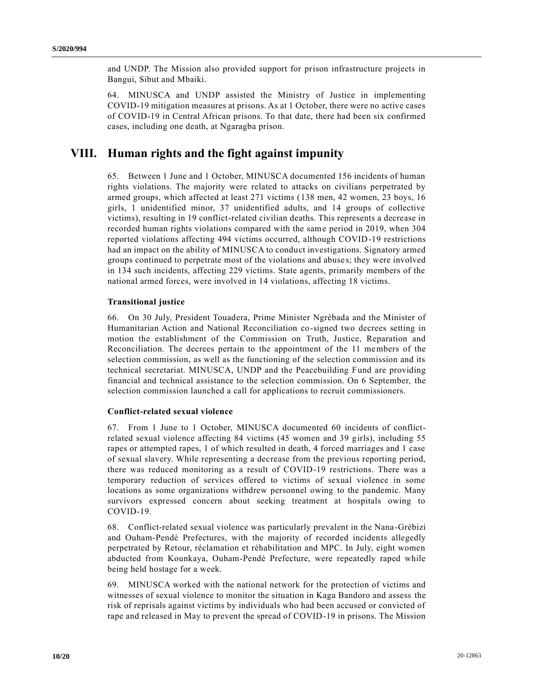and UNDP. The Mission also provided support for prison infrastructure projects in Bangui, Sibut and Mbaiki.

64. MINUSCA and UNDP assisted the Ministry of Justice in implementing COVID-19 mitigation measures at prisons. As at 1 October, there were no active cases of COVID-19 in Central African prisons. To that date, there had been six confirmed cases, including one death, at Ngaragba prison.

## **VIII. Human rights and the fight against impunity**

65. Between 1 June and 1 October, MINUSCA documented 156 incidents of human rights violations. The majority were related to attacks on civilians perpetrated by armed groups, which affected at least 271 victims (138 men, 42 women, 23 boys, 16 girls, 1 unidentified minor, 37 unidentified adults, and 14 groups of collective victims), resulting in 19 conflict-related civilian deaths. This represents a decrease in recorded human rights violations compared with the same period in 2019, when 304 reported violations affecting 494 victims occurred, although COVID-19 restrictions had an impact on the ability of MINUSCA to conduct investigations. Signatory armed groups continued to perpetrate most of the violations and abuse s; they were involved in 134 such incidents, affecting 229 victims. State agents, primarily members of the national armed forces, were involved in 14 violations, affecting 18 victims.

#### **Transitional justice**

66. On 30 July, President Touadera, Prime Minister Ngrébada and the Minister of Humanitarian Action and National Reconciliation co-signed two decrees setting in motion the establishment of the Commission on Truth, Justice, Reparation and Reconciliation. The decrees pertain to the appointment of the 11 members of the selection commission, as well as the functioning of the selection commission and its technical secretariat. MINUSCA, UNDP and the Peacebuilding Fund are providing financial and technical assistance to the selection commission. On 6 September, the selection commission launched a call for applications to recruit commissioners.

#### **Conflict-related sexual violence**

67. From 1 June to 1 October, MINUSCA documented 60 incidents of conflictrelated sexual violence affecting 84 victims (45 women and 39 girls), including 55 rapes or attempted rapes, 1 of which resulted in death, 4 forced marriages and 1 case of sexual slavery. While representing a decrease from the previous reporting period, there was reduced monitoring as a result of COVID-19 restrictions. There was a temporary reduction of services offered to victims of sexual violence in some locations as some organizations withdrew personnel owing to the pandemic. Many survivors expressed concern about seeking treatment at hospitals owing to COVID-19.

68. Conflict-related sexual violence was particularly prevalent in the Nana-Grébizi and Ouham-Pendé Prefectures, with the majority of recorded incidents allegedly perpetrated by Retour, réclamation et réhabilitation and MPC. In July, eight women abducted from Kounkaya, Ouham-Pendé Prefecture, were repeatedly raped while being held hostage for a week.

69. MINUSCA worked with the national network for the protection of victims and witnesses of sexual violence to monitor the situation in Kaga Bandoro and assess the risk of reprisals against victims by individuals who had been accused or convicted of rape and released in May to prevent the spread of COVID-19 in prisons. The Mission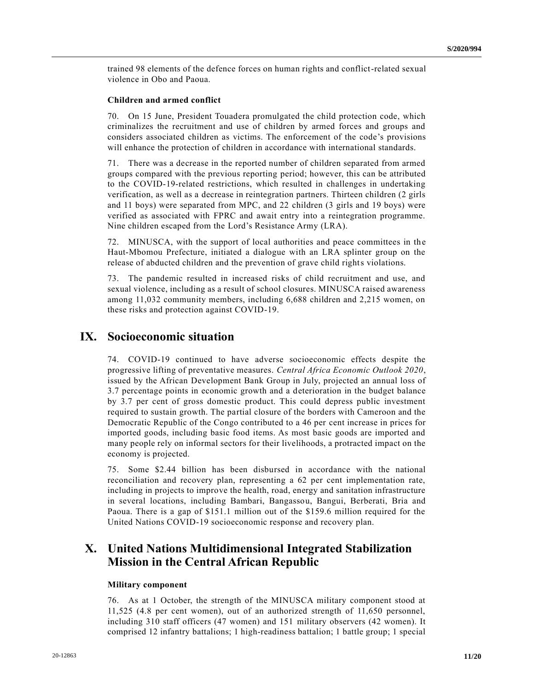trained 98 elements of the defence forces on human rights and conflict-related sexual violence in Obo and Paoua.

#### **Children and armed conflict**

70. On 15 June, President Touadera promulgated the child protection code, which criminalizes the recruitment and use of children by armed forces and groups and considers associated children as victims. The enforcement of the code's provisions will enhance the protection of children in accordance with international standards.

71. There was a decrease in the reported number of children separated from armed groups compared with the previous reporting period; however, this can be attributed to the COVID-19-related restrictions, which resulted in challenges in undertaking verification, as well as a decrease in reintegration partners. Thirteen children (2 girls and 11 boys) were separated from MPC, and 22 children (3 girls and 19 boys) were verified as associated with FPRC and await entry into a reintegration programme. Nine children escaped from the Lord's Resistance Army (LRA).

72. MINUSCA, with the support of local authorities and peace committees in the Haut-Mbomou Prefecture, initiated a dialogue with an LRA splinter group on the release of abducted children and the prevention of grave child rights violations.

73. The pandemic resulted in increased risks of child recruitment and use, and sexual violence, including as a result of school closures. MINUSCA raised awareness among 11,032 community members, including 6,688 children and 2,215 women, on these risks and protection against COVID-19.

## **IX. Socioeconomic situation**

74. COVID-19 continued to have adverse socioeconomic effects despite the progressive lifting of preventative measures. *Central Africa Economic Outlook 2020*, issued by the African Development Bank Group in July, projected an annual loss of 3.7 percentage points in economic growth and a deterioration in the budget balance by 3.7 per cent of gross domestic product. This could depress public investment required to sustain growth. The partial closure of the borders with Cameroon and the Democratic Republic of the Congo contributed to a 46 per cent increase in prices for imported goods, including basic food items. As most basic goods are imported and many people rely on informal sectors for their livelihoods, a protracted impact on the economy is projected.

75. Some \$2.44 billion has been disbursed in accordance with the national reconciliation and recovery plan, representing a 62 per cent implementation rate, including in projects to improve the health, road, energy and sanitation infrastructure in several locations, including Bambari, Bangassou, Bangui, Berberati, Bria and Paoua. There is a gap of \$151.1 million out of the \$159.6 million required for the United Nations COVID-19 socioeconomic response and recovery plan.

### **X. United Nations Multidimensional Integrated Stabilization Mission in the Central African Republic**

#### **Military component**

76. As at 1 October, the strength of the MINUSCA military component stood at 11,525 (4.8 per cent women), out of an authorized strength of 11,650 personnel, including 310 staff officers (47 women) and 151 military observers (42 women). It comprised 12 infantry battalions; 1 high-readiness battalion; 1 battle group; 1 special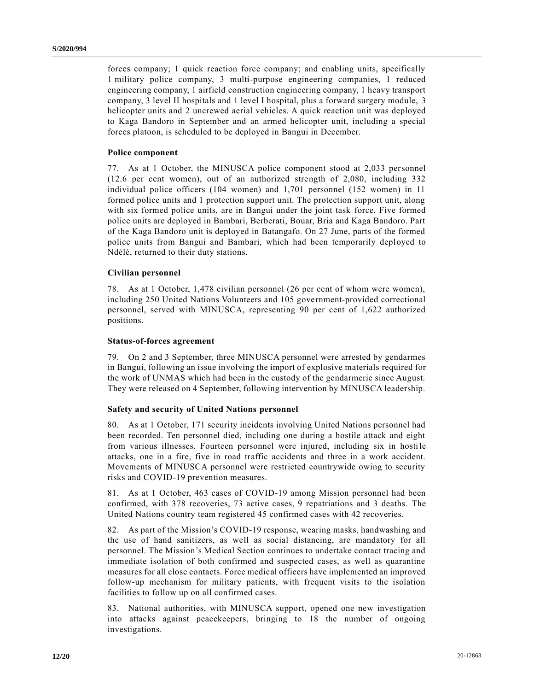forces company; 1 quick reaction force company; and enabling units, specifically 1 military police company, 3 multi-purpose engineering companies, 1 reduced engineering company, 1 airfield construction engineering company, 1 heavy transport company, 3 level II hospitals and 1 level I hospital, plus a forward surgery module, 3 helicopter units and 2 uncrewed aerial vehicles. A quick reaction unit was deployed to Kaga Bandoro in September and an armed helicopter unit, including a special forces platoon, is scheduled to be deployed in Bangui in December.

#### **Police component**

77. As at 1 October, the MINUSCA police component stood at 2,033 personnel (12.6 per cent women), out of an authorized strength of 2,080, including 332 individual police officers (104 women) and 1,701 personnel (152 women) in 11 formed police units and 1 protection support unit. The protection support unit, along with six formed police units, are in Bangui under the joint task force. Five formed police units are deployed in Bambari, Berberati, Bouar, Bria and Kaga Bandoro. Part of the Kaga Bandoro unit is deployed in Batangafo. On 27 June, parts of the formed police units from Bangui and Bambari, which had been temporarily deployed to Ndélé, returned to their duty stations.

#### **Civilian personnel**

78. As at 1 October, 1,478 civilian personnel (26 per cent of whom were women), including 250 United Nations Volunteers and 105 government-provided correctional personnel, served with MINUSCA, representing 90 per cent of 1,622 authorized positions.

#### **Status-of-forces agreement**

79. On 2 and 3 September, three MINUSCA personnel were arrested by gendarmes in Bangui, following an issue involving the import of explosive materials required for the work of UNMAS which had been in the custody of the gendarmerie since August. They were released on 4 September, following intervention by MINUSCA leadership.

#### **Safety and security of United Nations personnel**

80. As at 1 October, 171 security incidents involving United Nations personnel had been recorded. Ten personnel died, including one during a hostile attack and eight from various illnesses. Fourteen personnel were injured, including six in hostile attacks, one in a fire, five in road traffic accidents and three in a work accident. Movements of MINUSCA personnel were restricted countrywide owing to security risks and COVID-19 prevention measures.

81. As at 1 October, 463 cases of COVID-19 among Mission personnel had been confirmed, with 378 recoveries, 73 active cases, 9 repatriations and 3 deaths. The United Nations country team registered 45 confirmed cases with 42 recoveries.

82. As part of the Mission's COVID-19 response, wearing masks, handwashing and the use of hand sanitizers, as well as social distancing, are mandatory for all personnel. The Mission's Medical Section continues to undertake contact tracing and immediate isolation of both confirmed and suspected cases, as well as quarantine measures for all close contacts. Force medical officers have implemented an improved follow-up mechanism for military patients, with frequent visits to the isolation facilities to follow up on all confirmed cases.

83. National authorities, with MINUSCA support, opened one new investigation into attacks against peacekeepers, bringing to 18 the number of ongoing investigations.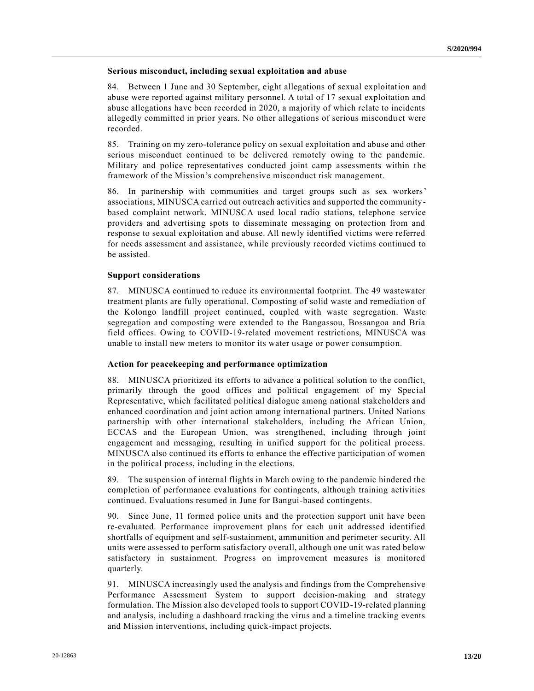#### **Serious misconduct, including sexual exploitation and abuse**

84. Between 1 June and 30 September, eight allegations of sexual exploitation and abuse were reported against military personnel. A total of 17 sexual exploitation and abuse allegations have been recorded in 2020, a majority of which relate to incidents allegedly committed in prior years. No other allegations of serious miscondu ct were recorded.

85. Training on my zero-tolerance policy on sexual exploitation and abuse and other serious misconduct continued to be delivered remotely owing to the pandemic. Military and police representatives conducted joint camp assessments within the framework of the Mission's comprehensive misconduct risk management.

86. In partnership with communities and target groups such as sex workers' associations, MINUSCA carried out outreach activities and supported the community based complaint network. MINUSCA used local radio stations, telephone service providers and advertising spots to disseminate messaging on protection from and response to sexual exploitation and abuse. All newly identified victims were referred for needs assessment and assistance, while previously recorded victims continued to be assisted.

#### **Support considerations**

87. MINUSCA continued to reduce its environmental footprint. The 49 wastewater treatment plants are fully operational. Composting of solid waste and remediation of the Kolongo landfill project continued, coupled with waste segregation. Waste segregation and composting were extended to the Bangassou, Bossangoa and Bria field offices. Owing to COVID-19-related movement restrictions, MINUSCA was unable to install new meters to monitor its water usage or power consumption.

#### **Action for peacekeeping and performance optimization**

88. MINUSCA prioritized its efforts to advance a political solution to the conflict, primarily through the good offices and political engagement of my Special Representative, which facilitated political dialogue among national stakeholders and enhanced coordination and joint action among international partners. United Nations partnership with other international stakeholders, including the African Union, ECCAS and the European Union, was strengthened, including through joint engagement and messaging, resulting in unified support for the political process. MINUSCA also continued its efforts to enhance the effective participation of women in the political process, including in the elections.

89. The suspension of internal flights in March owing to the pandemic hindered the completion of performance evaluations for contingents, although training activities continued. Evaluations resumed in June for Bangui-based contingents.

90. Since June, 11 formed police units and the protection support unit have been re-evaluated. Performance improvement plans for each unit addressed identified shortfalls of equipment and self-sustainment, ammunition and perimeter security. All units were assessed to perform satisfactory overall, although one unit was rated below satisfactory in sustainment. Progress on improvement measures is monitored quarterly.

91. MINUSCA increasingly used the analysis and findings from the Comprehensive Performance Assessment System to support decision-making and strategy formulation. The Mission also developed tools to support COVID-19-related planning and analysis, including a dashboard tracking the virus and a timeline tracking events and Mission interventions, including quick-impact projects.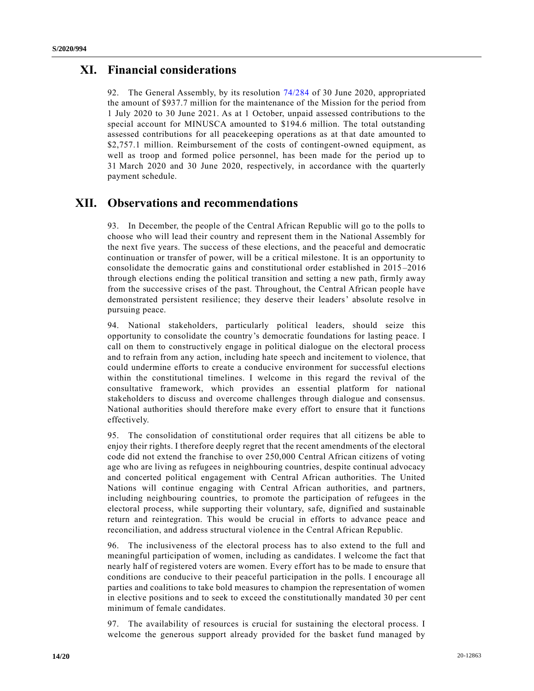### **XI. Financial considerations**

92. The General Assembly, by its resolution [74/284](https://undocs.org/en/A/RES/74/284) of 30 June 2020, appropriated the amount of \$937.7 million for the maintenance of the Mission for the period from 1 July 2020 to 30 June 2021. As at 1 October, unpaid assessed contributions to the special account for MINUSCA amounted to \$194.6 million. The total outstanding assessed contributions for all peacekeeping operations as at that date amounted to \$2,757.1 million. Reimbursement of the costs of contingent-owned equipment, as well as troop and formed police personnel, has been made for the period up to 31 March 2020 and 30 June 2020, respectively, in accordance with the quarterly payment schedule.

## **XII. Observations and recommendations**

93. In December, the people of the Central African Republic will go to the polls to choose who will lead their country and represent them in the National Assembly for the next five years. The success of these elections, and the peaceful and democratic continuation or transfer of power, will be a critical milestone. It is an opportunity to consolidate the democratic gains and constitutional order established in 2015 –2016 through elections ending the political transition and setting a new path, firmly away from the successive crises of the past. Throughout, the Central African people have demonstrated persistent resilience; they deserve their leaders' absolute resolve in pursuing peace.

94. National stakeholders, particularly political leaders, should seize this opportunity to consolidate the country's democratic foundations for lasting peace. I call on them to constructively engage in political dialogue on the electoral process and to refrain from any action, including hate speech and incitement to violence, that could undermine efforts to create a conducive environment for successful elections within the constitutional timelines. I welcome in this regard the revival of the consultative framework, which provides an essential platform for national stakeholders to discuss and overcome challenges through dialogue and consensus. National authorities should therefore make every effort to ensure that it functions effectively.

95. The consolidation of constitutional order requires that all citizens be able to enjoy their rights. I therefore deeply regret that the recent amendments of the electoral code did not extend the franchise to over 250,000 Central African citizens of voting age who are living as refugees in neighbouring countries, despite continual advocacy and concerted political engagement with Central African authorities. The United Nations will continue engaging with Central African authorities, and partners, including neighbouring countries, to promote the participation of refugees in the electoral process, while supporting their voluntary, safe, dignified and sustainable return and reintegration. This would be crucial in efforts to advance peace and reconciliation, and address structural violence in the Central African Republic.

96. The inclusiveness of the electoral process has to also extend to the full and meaningful participation of women, including as candidates. I welcome the fact that nearly half of registered voters are women. Every effort has to be made to ensure that conditions are conducive to their peaceful participation in the polls. I encourage all parties and coalitions to take bold measures to champion the representation of women in elective positions and to seek to exceed the constitutionally mandated 30 per cent minimum of female candidates.

97. The availability of resources is crucial for sustaining the electoral process. I welcome the generous support already provided for the basket fund managed by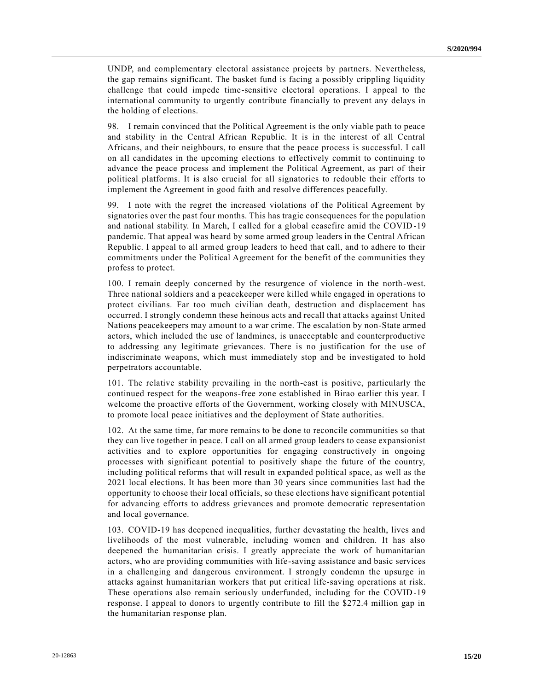UNDP, and complementary electoral assistance projects by partners. Nevertheless, the gap remains significant. The basket fund is facing a possibly crippling liquidity challenge that could impede time-sensitive electoral operations. I appeal to the international community to urgently contribute financially to prevent any delays in the holding of elections.

98. I remain convinced that the Political Agreement is the only viable path to peace and stability in the Central African Republic. It is in the interest of all Central Africans, and their neighbours, to ensure that the peace process is successful. I call on all candidates in the upcoming elections to effectively commit to continuing to advance the peace process and implement the Political Agreement, as part of their political platforms. It is also crucial for all signatories to redouble their efforts to implement the Agreement in good faith and resolve differences peacefully.

99. I note with the regret the increased violations of the Political Agreement by signatories over the past four months. This has tragic consequences for the population and national stability. In March, I called for a global ceasefire amid the COVID-19 pandemic. That appeal was heard by some armed group leaders in the Central African Republic. I appeal to all armed group leaders to heed that call, and to adhere to their commitments under the Political Agreement for the benefit of the communities they profess to protect.

100. I remain deeply concerned by the resurgence of violence in the north-west. Three national soldiers and a peacekeeper were killed while engaged in operations to protect civilians. Far too much civilian death, destruction and displacement has occurred. I strongly condemn these heinous acts and recall that attacks against United Nations peacekeepers may amount to a war crime. The escalation by non-State armed actors, which included the use of landmines, is unacceptable and counterproductive to addressing any legitimate grievances. There is no justification for the use of indiscriminate weapons, which must immediately stop and be investigated to hold perpetrators accountable.

101. The relative stability prevailing in the north-east is positive, particularly the continued respect for the weapons-free zone established in Birao earlier this year. I welcome the proactive efforts of the Government, working closely with MINUSCA, to promote local peace initiatives and the deployment of State authorities.

102. At the same time, far more remains to be done to reconcile communities so that they can live together in peace. I call on all armed group leaders to cease expansionist activities and to explore opportunities for engaging constructively in ongoing processes with significant potential to positively shape the future of the country, including political reforms that will result in expanded political space, as well as the 2021 local elections. It has been more than 30 years since communities last had the opportunity to choose their local officials, so these elections have significant potential for advancing efforts to address grievances and promote democratic representation and local governance.

103. COVID-19 has deepened inequalities, further devastating the health, lives and livelihoods of the most vulnerable, including women and children. It has also deepened the humanitarian crisis. I greatly appreciate the work of humanitarian actors, who are providing communities with life-saving assistance and basic services in a challenging and dangerous environment. I strongly condemn the upsurge in attacks against humanitarian workers that put critical life-saving operations at risk. These operations also remain seriously underfunded, including for the COVID-19 response. I appeal to donors to urgently contribute to fill the \$272.4 million gap in the humanitarian response plan.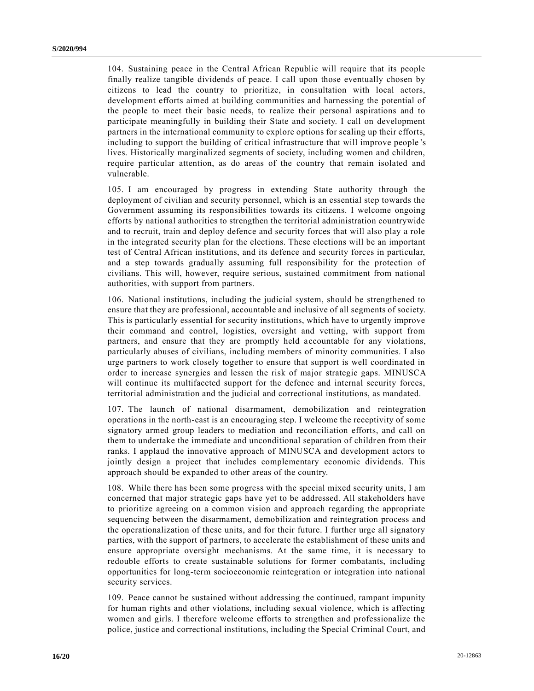104. Sustaining peace in the Central African Republic will require that its people finally realize tangible dividends of peace. I call upon those eventually chosen by citizens to lead the country to prioritize, in consultation with local actors, development efforts aimed at building communities and harnessing the potential of the people to meet their basic needs, to realize their personal aspirations and to participate meaningfully in building their State and society. I call on development partners in the international community to explore options for scaling up their efforts, including to support the building of critical infrastructure that will improve people 's lives. Historically marginalized segments of society, including women and children, require particular attention, as do areas of the country that remain isolated and vulnerable.

105. I am encouraged by progress in extending State authority through the deployment of civilian and security personnel, which is an essential step towards the Government assuming its responsibilities towards its citizens. I welcome ongoing efforts by national authorities to strengthen the territorial administration countrywide and to recruit, train and deploy defence and security forces that will also play a role in the integrated security plan for the elections. These elections will be an important test of Central African institutions, and its defence and security forces in particular, and a step towards gradually assuming full responsibility for the protection of civilians. This will, however, require serious, sustained commitment from national authorities, with support from partners.

106. National institutions, including the judicial system, should be strengthened to ensure that they are professional, accountable and inclusive of all segments of society. This is particularly essential for security institutions, which have to urgently improve their command and control, logistics, oversight and vetting, with support from partners, and ensure that they are promptly held accountable for any violations, particularly abuses of civilians, including members of minority communities. I also urge partners to work closely together to ensure that support is well coordinated in order to increase synergies and lessen the risk of major strategic gaps. MINUSCA will continue its multifaceted support for the defence and internal security forces, territorial administration and the judicial and correctional institutions, as mandated.

107. The launch of national disarmament, demobilization and reintegration operations in the north-east is an encouraging step. I welcome the receptivity of some signatory armed group leaders to mediation and reconciliation efforts, and call on them to undertake the immediate and unconditional separation of children from their ranks. I applaud the innovative approach of MINUSCA and development actors to jointly design a project that includes complementary economic dividends. This approach should be expanded to other areas of the country.

108. While there has been some progress with the special mixed security units, I am concerned that major strategic gaps have yet to be addressed. All stakeholders have to prioritize agreeing on a common vision and approach regarding the appropriate sequencing between the disarmament, demobilization and reintegration process and the operationalization of these units, and for their future. I further urge all signatory parties, with the support of partners, to accelerate the establishment of these units and ensure appropriate oversight mechanisms. At the same time, it is necessary to redouble efforts to create sustainable solutions for former combatants, including opportunities for long-term socioeconomic reintegration or integration into national security services.

109. Peace cannot be sustained without addressing the continued, rampant impunity for human rights and other violations, including sexual violence, which is affecting women and girls. I therefore welcome efforts to strengthen and professionalize the police, justice and correctional institutions, including the Special Criminal Court, and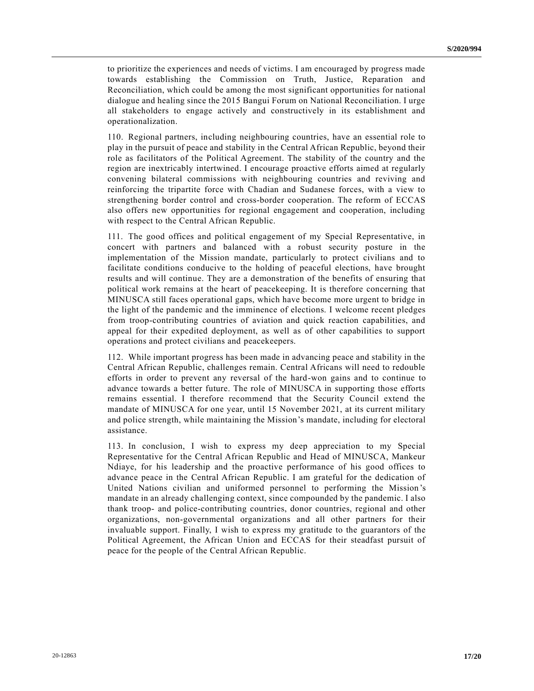to prioritize the experiences and needs of victims. I am encouraged by progress made towards establishing the Commission on Truth, Justice, Reparation and Reconciliation, which could be among the most significant opportunities for national dialogue and healing since the 2015 Bangui Forum on National Reconciliation. I urge all stakeholders to engage actively and constructively in its establishment and operationalization.

110. Regional partners, including neighbouring countries, have an essential role to play in the pursuit of peace and stability in the Central African Republic, beyond their role as facilitators of the Political Agreement. The stability of the country and the region are inextricably intertwined. I encourage proactive efforts aimed at regularly convening bilateral commissions with neighbouring countries and reviving and reinforcing the tripartite force with Chadian and Sudanese forces, with a view to strengthening border control and cross-border cooperation. The reform of ECCAS also offers new opportunities for regional engagement and cooperation, including with respect to the Central African Republic.

111. The good offices and political engagement of my Special Representative, in concert with partners and balanced with a robust security posture in the implementation of the Mission mandate, particularly to protect civilians and to facilitate conditions conducive to the holding of peaceful elections, have brought results and will continue. They are a demonstration of the benefits of ensuring that political work remains at the heart of peacekeeping. It is therefore concerning that MINUSCA still faces operational gaps, which have become more urgent to bridge in the light of the pandemic and the imminence of elections. I welcome recent pledges from troop-contributing countries of aviation and quick reaction capabilities, and appeal for their expedited deployment, as well as of other capabilities to support operations and protect civilians and peacekeepers.

112. While important progress has been made in advancing peace and stability in the Central African Republic, challenges remain. Central Africans will need to redouble efforts in order to prevent any reversal of the hard-won gains and to continue to advance towards a better future. The role of MINUSCA in supporting those efforts remains essential. I therefore recommend that the Security Council extend the mandate of MINUSCA for one year, until 15 November 2021, at its current military and police strength, while maintaining the Mission's mandate, including for electoral assistance.

113. In conclusion, I wish to express my deep appreciation to my Special Representative for the Central African Republic and Head of MINUSCA, Mankeur Ndiaye, for his leadership and the proactive performance of his good offices to advance peace in the Central African Republic. I am grateful for the dedication of United Nations civilian and uniformed personnel to performing the Mission 's mandate in an already challenging context, since compounded by the pandemic. I also thank troop- and police-contributing countries, donor countries, regional and other organizations, non-governmental organizations and all other partners for their invaluable support. Finally, I wish to express my gratitude to the guarantors of the Political Agreement, the African Union and ECCAS for their steadfast pursuit of peace for the people of the Central African Republic.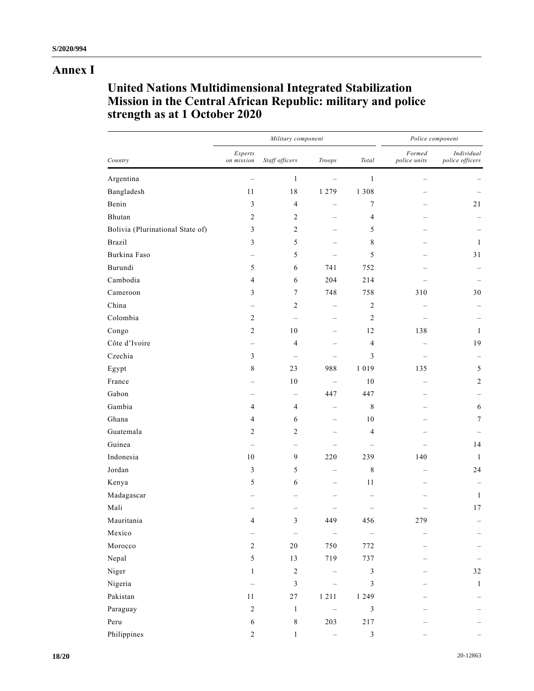## **Annex I**

# **United Nations Multidimensional Integrated Stabilization Mission in the Central African Republic: military and police strength as at 1 October 2020**

| Country                          | Military component       |                          |                          |                | Police component       |                               |
|----------------------------------|--------------------------|--------------------------|--------------------------|----------------|------------------------|-------------------------------|
|                                  | Experts<br>on mission    | Staff officers           | $\mathit{Troops}$        | Total          | Formed<br>police units | Individual<br>police officers |
| Argentina                        |                          | $\mathbf{1}$             |                          | $\mathbf{1}$   |                        |                               |
| Bangladesh                       | 11                       | 18                       | 1 2 7 9                  | 1 3 0 8        |                        |                               |
| Benin                            | $\mathfrak{Z}$           | $\overline{4}$           | $\overline{\phantom{0}}$ | 7              |                        | 21                            |
| Bhutan                           | $\overline{c}$           | $\overline{c}$           | $\qquad \qquad -$        | 4              |                        |                               |
| Bolivia (Plurinational State of) | 3                        | $\overline{2}$           | $\overline{\phantom{0}}$ | 5              |                        |                               |
| <b>Brazil</b>                    | 3                        | 5                        |                          | 8              |                        | $\mathbf{1}$                  |
| Burkina Faso                     |                          | 5                        |                          | 5              |                        | 31                            |
| Burundi                          | 5                        | 6                        | 741                      | 752            |                        |                               |
| Cambodia                         | $\overline{4}$           | 6                        | 204                      | 214            |                        |                               |
| Cameroon                         | 3                        | $\tau$                   | 748                      | 758            | 310                    | 30                            |
| China                            |                          | 2                        | $\qquad \qquad -$        | 2              |                        |                               |
| Colombia                         | $\overline{c}$           |                          | $\overline{\phantom{0}}$ | $\overline{c}$ |                        |                               |
| Congo                            | $\sqrt{2}$               | 10                       | $\overline{\phantom{0}}$ | 12             | 138                    | $\mathbf{1}$                  |
| Côte d'Ivoire                    | —                        | $\overline{4}$           | —                        | 4              |                        | 19                            |
| Czechia                          | 3                        |                          |                          | 3              |                        |                               |
| Egypt                            | $\,$ 8 $\,$              | 23                       | 988                      | 1 0 1 9        | 135                    | 5                             |
| France                           |                          | 10                       | $\qquad \qquad -$        | 10             |                        | $\overline{2}$                |
| Gabon                            |                          | $\qquad \qquad -$        | 447                      | 447            |                        |                               |
| Gambia                           | $\overline{4}$           | $\overline{4}$           |                          | 8              |                        | 6                             |
| Ghana                            | $\overline{4}$           | 6                        | $\overline{\phantom{0}}$ | 10             |                        | $\tau$                        |
| Guatemala                        | $\overline{2}$           | $\overline{2}$           |                          | 4              |                        |                               |
| Guinea                           |                          | $\overline{\phantom{0}}$ |                          |                |                        | 14                            |
| Indonesia                        | 10                       | $\mathbf{9}$             | 220                      | 239            | 140                    | -1                            |
| Jordan                           | 3                        | 5                        | $\overline{\phantom{0}}$ | 8              |                        | 24                            |
| Kenya                            | 5                        | 6                        | $\overline{\phantom{0}}$ | 11             |                        |                               |
| Madagascar                       |                          |                          |                          |                |                        | 1                             |
| Mali                             |                          |                          |                          |                |                        | 17                            |
| Mauritania                       | $\overline{4}$           | 3                        | 449                      | 456            | 279                    |                               |
| Mexico                           | $\overline{\phantom{0}}$ | $\overline{\phantom{m}}$ |                          |                |                        |                               |
| Morocco                          | $\overline{c}$           | $20\,$                   | 750                      | 772            |                        |                               |
| Nepal                            | $\sqrt{5}$               | 13                       | 719                      | 737            |                        |                               |
| Niger                            | $\mathbf{1}$             | $\sqrt{2}$               |                          | 3              |                        | 32                            |
| Nigeria                          |                          | $\mathfrak{Z}$           |                          | 3              |                        | $\mathbf{1}$                  |
| Pakistan                         | 11                       | $27\,$                   | 1 2 1 1                  | 1 2 4 9        |                        |                               |
| Paraguay                         | $\sqrt{2}$               | $\mathbf{1}$             | $\overline{\phantom{0}}$ | $\mathfrak{Z}$ |                        |                               |
| Peru                             | $\sqrt{6}$               | $\,8\,$                  | 203                      | $217\,$        |                        |                               |
| Philippines                      | $\overline{c}$           | $\mathbf{1}$             |                          | $\sqrt{3}$     |                        |                               |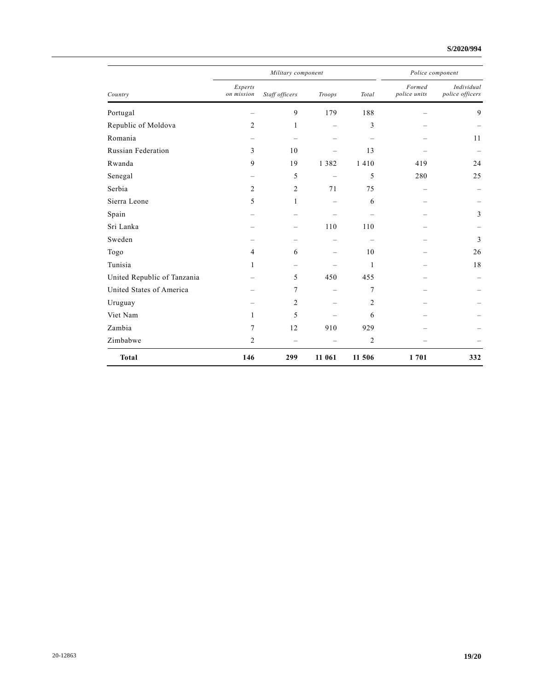### **S/2020/994**

| Country                     |                       | Military component       | Police component         |                |                        |                               |
|-----------------------------|-----------------------|--------------------------|--------------------------|----------------|------------------------|-------------------------------|
|                             | Experts<br>on mission | Staff officers           | Troops                   | Total          | Formed<br>police units | Individual<br>police officers |
| Portugal                    |                       | 9                        | 179                      | 188            |                        | 9                             |
| Republic of Moldova         | 2                     | 1                        |                          | 3              |                        |                               |
| Romania                     |                       | $\overline{\phantom{0}}$ | $\overline{\phantom{0}}$ |                |                        | 11                            |
| <b>Russian Federation</b>   | 3                     | 10                       |                          | 13             |                        |                               |
| Rwanda                      | 9                     | 19                       | 1 3 8 2                  | 1410           | 419                    | 24                            |
| Senegal                     |                       | 5                        | $\overline{\phantom{m}}$ | 5              | 280                    | 25                            |
| Serbia                      | $\overline{c}$        | $\overline{2}$           | 71                       | 75             |                        |                               |
| Sierra Leone                | 5                     | 1                        | $\qquad \qquad -$        | 6              |                        |                               |
| Spain                       |                       |                          |                          |                |                        | 3                             |
| Sri Lanka                   |                       | $\overline{\phantom{0}}$ | 110                      | 110            |                        |                               |
| Sweden                      |                       |                          |                          |                |                        | 3                             |
| Togo                        | $\overline{4}$        | 6                        |                          | 10             |                        | 26                            |
| Tunisia                     | 1                     |                          |                          | 1              |                        | 18                            |
| United Republic of Tanzania |                       | 5                        | 450                      | 455            |                        |                               |
| United States of America    |                       | 7                        | $\overline{\phantom{0}}$ | 7              |                        |                               |
| Uruguay                     |                       | $\overline{c}$           |                          | 2              |                        |                               |
| Viet Nam                    | 1                     | 5                        |                          | 6              |                        |                               |
| Zambia                      | 7                     | 12                       | 910                      | 929            |                        |                               |
| Zimbabwe                    | 2                     | $\equiv$                 |                          | $\overline{c}$ |                        |                               |
| <b>Total</b>                | 146                   | 299                      | 11 061                   | 11 506         | 1701                   | 332                           |